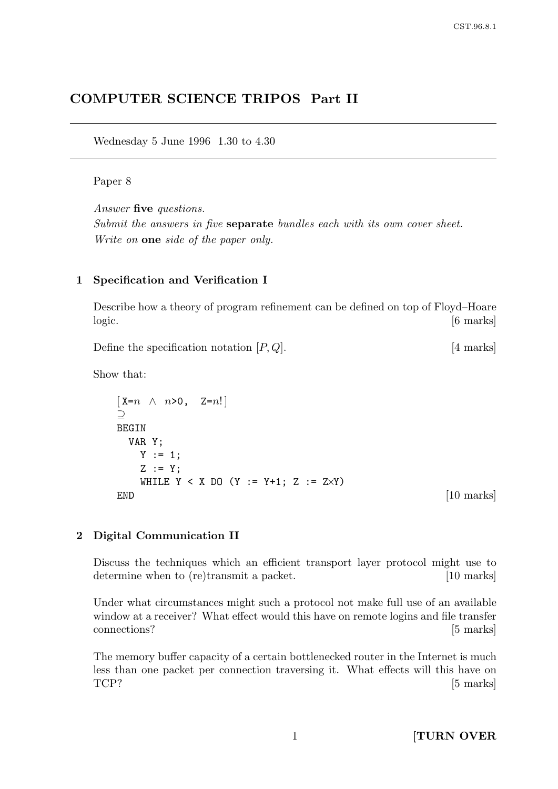# COMPUTER SCIENCE TRIPOS Part II

Wednesday 5 June 1996 1.30 to 4.30

### Paper 8

Answer five questions. Submit the answers in five **separate** bundles each with its own cover sheet. Write on **one** side of the paper only.

#### 1 Specification and Verification I

Describe how a theory of program refinement can be defined on top of Floyd–Hoare logic. [6 marks]

Define the specification notation  $[P,Q]$ . [4 marks]

Show that:

```
\begin{bmatrix} X=n \sim n>0, & Z=n! \end{bmatrix}⊇
BEGIN
 VAR Y;
   Y := 1;Z := Y;WHILE Y < X DO (Y := Y+1; Z := Z\timesY)
END [10 marks]
```
#### 2 Digital Communication II

Discuss the techniques which an efficient transport layer protocol might use to determine when to (re)transmit a packet. [10 marks]

Under what circumstances might such a protocol not make full use of an available window at a receiver? What effect would this have on remote logins and file transfer connections? [5 marks]

The memory buffer capacity of a certain bottlenecked router in the Internet is much less than one packet per connection traversing it. What effects will this have on  $TCP?$  [5 marks]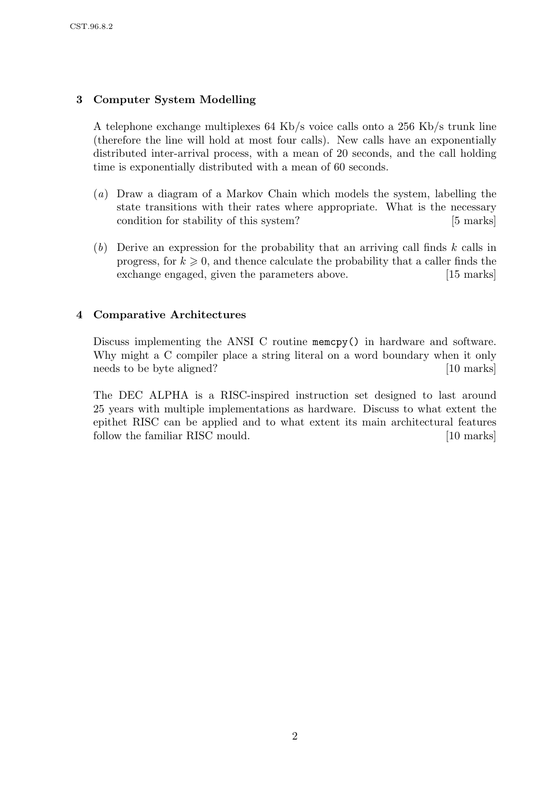# 3 Computer System Modelling

A telephone exchange multiplexes 64 Kb/s voice calls onto a 256 Kb/s trunk line (therefore the line will hold at most four calls). New calls have an exponentially distributed inter-arrival process, with a mean of 20 seconds, and the call holding time is exponentially distributed with a mean of 60 seconds.

- (a) Draw a diagram of a Markov Chain which models the system, labelling the state transitions with their rates where appropriate. What is the necessary condition for stability of this system? [5 marks]
- $(b)$  Derive an expression for the probability that an arriving call finds k calls in progress, for  $k \geq 0$ , and thence calculate the probability that a caller finds the exchange engaged, given the parameters above. [15 marks]

## 4 Comparative Architectures

Discuss implementing the ANSI C routine memcpy() in hardware and software. Why might a C compiler place a string literal on a word boundary when it only needs to be byte aligned? [10 marks]

The DEC ALPHA is a RISC-inspired instruction set designed to last around 25 years with multiple implementations as hardware. Discuss to what extent the epithet RISC can be applied and to what extent its main architectural features follow the familiar RISC mould. [10 marks]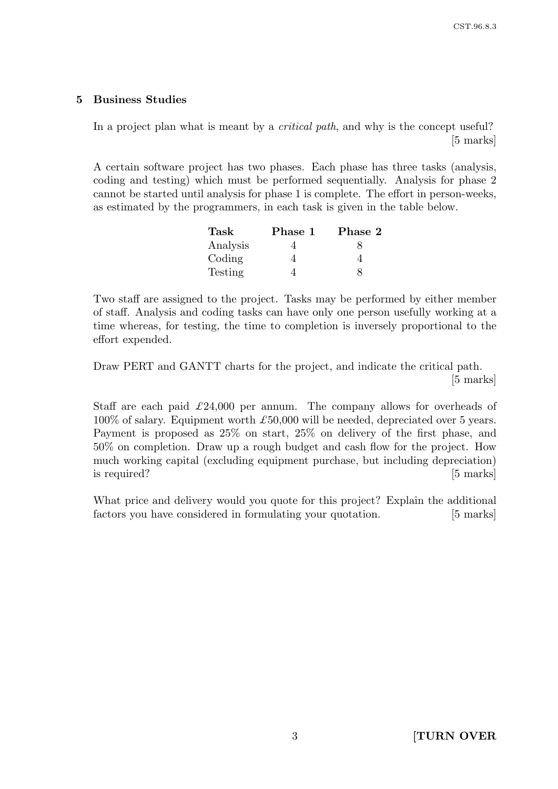### 5 Business Studies

In a project plan what is meant by a *critical path*, and why is the concept useful? [5 marks]

A certain software project has two phases. Each phase has three tasks (analysis, coding and testing) which must be performed sequentially. Analysis for phase 2 cannot be started until analysis for phase 1 is complete. The effort in person-weeks, as estimated by the programmers, in each task is given in the table below.

| Task     | Phase 1 | Phase 2 |
|----------|---------|---------|
| Analysis |         |         |
| Coding   |         |         |
| Testing  |         |         |

Two staff are assigned to the project. Tasks may be performed by either member of staff. Analysis and coding tasks can have only one person usefully working at a time whereas, for testing, the time to completion is inversely proportional to the effort expended.

Draw PERT and GANTT charts for the project, and indicate the critical path. [5 marks]

Staff are each paid  $\pounds 24,000$  per annum. The company allows for overheads of  $100\%$  of salary. Equipment worth  $\pounds 50,000$  will be needed, depreciated over 5 years. Payment is proposed as 25% on start, 25% on delivery of the first phase, and 50% on completion. Draw up a rough budget and cash flow for the project. How much working capital (excluding equipment purchase, but including depreciation) is required? [5 marks]

What price and delivery would you quote for this project? Explain the additional factors you have considered in formulating your quotation. [5 marks]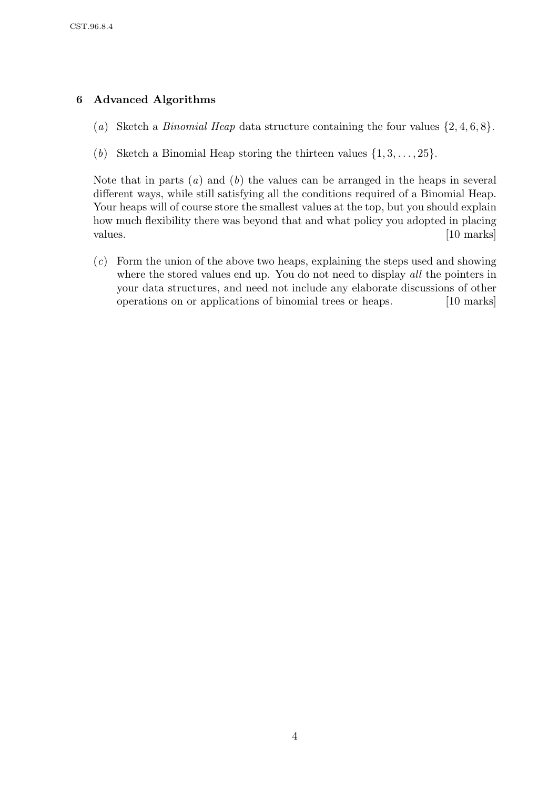## 6 Advanced Algorithms

- (a) Sketch a *Binomial Heap* data structure containing the four values  $\{2, 4, 6, 8\}$ .
- (b) Sketch a Binomial Heap storing the thirteen values  $\{1, 3, \ldots, 25\}$ .

Note that in parts  $(a)$  and  $(b)$  the values can be arranged in the heaps in several different ways, while still satisfying all the conditions required of a Binomial Heap. Your heaps will of course store the smallest values at the top, but you should explain how much flexibility there was beyond that and what policy you adopted in placing values. [10 marks]

(c) Form the union of the above two heaps, explaining the steps used and showing where the stored values end up. You do not need to display all the pointers in your data structures, and need not include any elaborate discussions of other operations on or applications of binomial trees or heaps. [10 marks]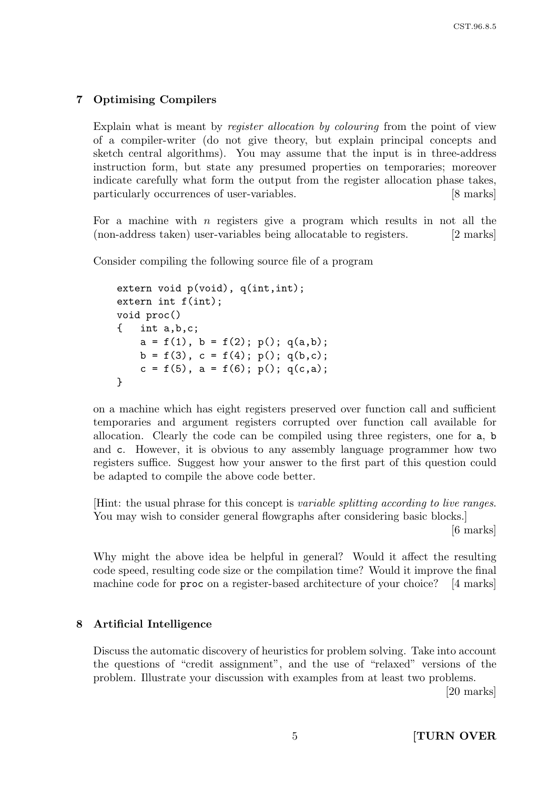## 7 Optimising Compilers

Explain what is meant by register allocation by colouring from the point of view of a compiler-writer (do not give theory, but explain principal concepts and sketch central algorithms). You may assume that the input is in three-address instruction form, but state any presumed properties on temporaries; moreover indicate carefully what form the output from the register allocation phase takes, particularly occurrences of user-variables. [8 marks]

For a machine with  $n$  registers give a program which results in not all the (non-address taken) user-variables being allocatable to registers. [2 marks]

Consider compiling the following source file of a program

```
extern void p(void), q(int,int);
extern int f(int);
void proc()
{ int a,b,c;
    a = f(1), b = f(2); p(); q(a,b);
    b = f(3), c = f(4); p(); q(b, c);
    c = f(5), a = f(6); p(); q(c,a);
}
```
on a machine which has eight registers preserved over function call and sufficient temporaries and argument registers corrupted over function call available for allocation. Clearly the code can be compiled using three registers, one for a, b and c. However, it is obvious to any assembly language programmer how two registers suffice. Suggest how your answer to the first part of this question could be adapted to compile the above code better.

[Hint: the usual phrase for this concept is variable splitting according to live ranges. You may wish to consider general flowgraphs after considering basic blocks.

[6 marks]

Why might the above idea be helpful in general? Would it affect the resulting code speed, resulting code size or the compilation time? Would it improve the final machine code for proc on a register-based architecture of your choice? [4 marks]

### 8 Artificial Intelligence

Discuss the automatic discovery of heuristics for problem solving. Take into account the questions of "credit assignment", and the use of "relaxed" versions of the problem. Illustrate your discussion with examples from at least two problems.

[20 marks]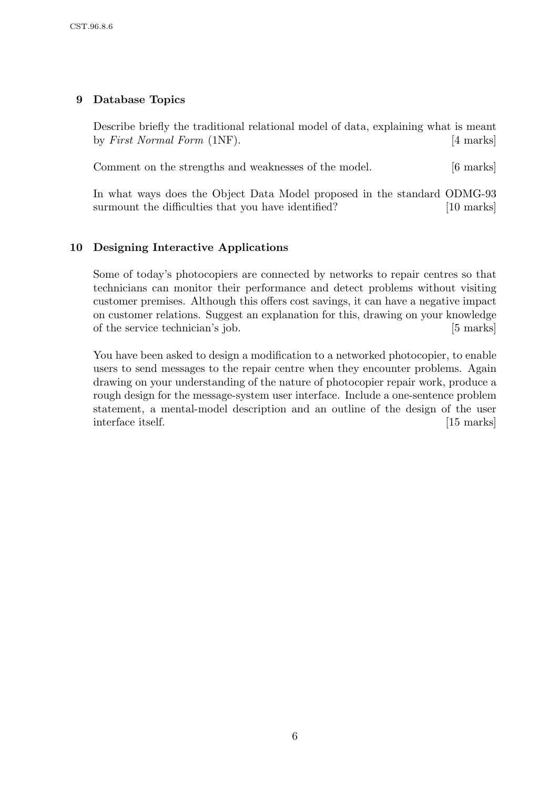## 9 Database Topics

Describe briefly the traditional relational model of data, explaining what is meant by *First Normal Form* (1NF). [4 marks]

Comment on the strengths and weaknesses of the model. [6 marks]

In what ways does the Object Data Model proposed in the standard ODMG-93 surmount the difficulties that you have identified? [10 marks]

## 10 Designing Interactive Applications

Some of today's photocopiers are connected by networks to repair centres so that technicians can monitor their performance and detect problems without visiting customer premises. Although this offers cost savings, it can have a negative impact on customer relations. Suggest an explanation for this, drawing on your knowledge of the service technician's job. [5 marks]

You have been asked to design a modification to a networked photocopier, to enable users to send messages to the repair centre when they encounter problems. Again drawing on your understanding of the nature of photocopier repair work, produce a rough design for the message-system user interface. Include a one-sentence problem statement, a mental-model description and an outline of the design of the user interface itself. [15 marks]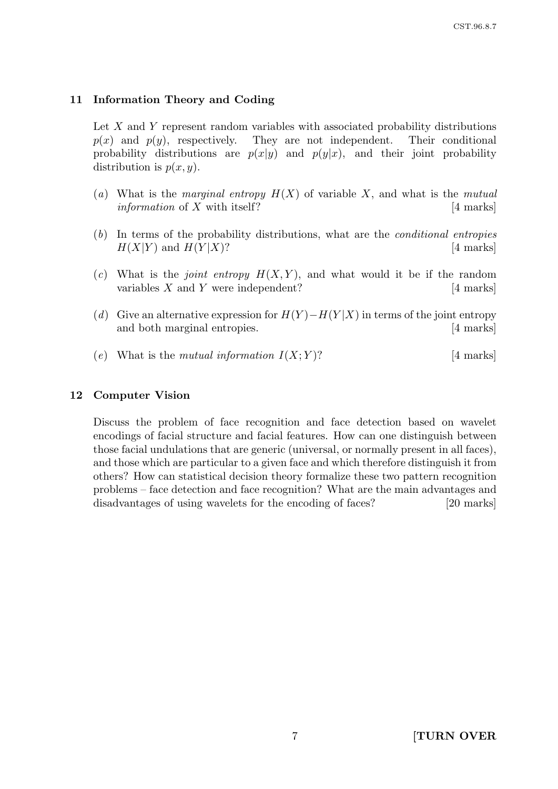### 11 Information Theory and Coding

Let X and Y represent random variables with associated probability distributions  $p(x)$  and  $p(y)$ , respectively. They are not independent. Their conditional probability distributions are  $p(x|y)$  and  $p(y|x)$ , and their joint probability distribution is  $p(x, y)$ .

- (a) What is the *marginal entropy*  $H(X)$  of variable X, and what is the *mutual information* of X with itself?  $|4 \text{ marks}|$
- (b) In terms of the probability distributions, what are the conditional entropies  $H(X|Y)$  and  $H(Y|X)$ ? [4 marks]
- (c) What is the *joint entropy*  $H(X, Y)$ , and what would it be if the random variables  $X$  and  $Y$  were independent? [4 marks]
- (d) Give an alternative expression for  $H(Y) H(Y|X)$  in terms of the joint entropy and both marginal entropies. [4 marks]
- (e) What is the mutual information  $I(X;Y)$ ? [4 marks]

### 12 Computer Vision

Discuss the problem of face recognition and face detection based on wavelet encodings of facial structure and facial features. How can one distinguish between those facial undulations that are generic (universal, or normally present in all faces), and those which are particular to a given face and which therefore distinguish it from others? How can statistical decision theory formalize these two pattern recognition problems – face detection and face recognition? What are the main advantages and disadvantages of using wavelets for the encoding of faces? [20 marks]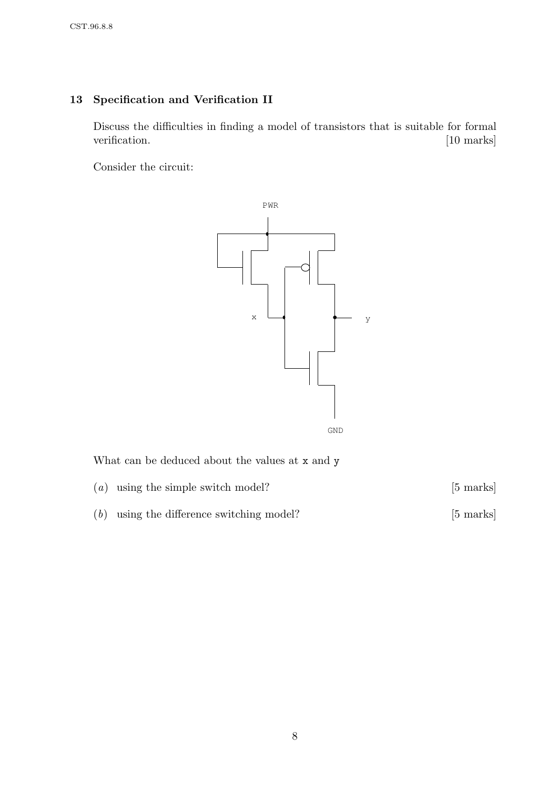# 13 Specification and Verification II

Discuss the difficulties in finding a model of transistors that is suitable for formal verification. [10 marks]

Consider the circuit:



What can be deduced about the values at x and y

| $(a)$ using the simple switch model?        | $[5 \text{ marks}]$ |
|---------------------------------------------|---------------------|
| $(b)$ using the difference switching model? | $[5 \text{ marks}]$ |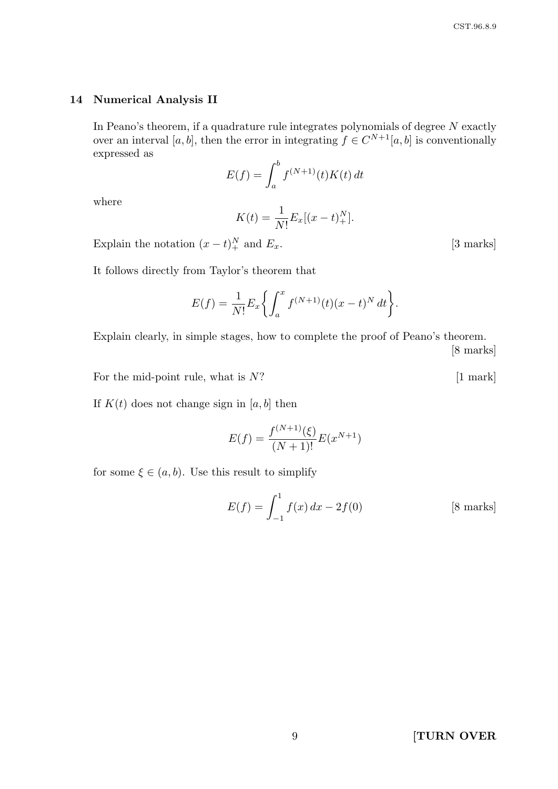#### 14 Numerical Analysis II

In Peano's theorem, if a quadrature rule integrates polynomials of degree  $N$  exactly over an interval [a, b], then the error in integrating  $f \in C^{N+1}[a, b]$  is conventionally expressed as

$$
E(f) = \int_a^b f^{(N+1)}(t)K(t) dt
$$

where

$$
K(t) = \frac{1}{N!} E_x[(x - t)^{N}_+].
$$

Explain the notation  $(x - t)_+^N$  and  $E_x$ . [3 marks]

It follows directly from Taylor's theorem that

$$
E(f) = \frac{1}{N!} E_x \left\{ \int_a^x f^{(N+1)}(t) (x - t)^N dt \right\}.
$$

Explain clearly, in simple stages, how to complete the proof of Peano's theorem. [8 marks]

For the mid-point rule, what is  $N$ ? [1 mark]

If  $K(t)$  does not change sign in [a, b] then

$$
E(f) = \frac{f^{(N+1)}(\xi)}{(N+1)!} E(x^{N+1})
$$

for some  $\xi \in (a, b)$ . Use this result to simplify

$$
E(f) = \int_{-1}^{1} f(x) dx - 2f(0)
$$
 [8 marks]

9 **[TURN OVER**